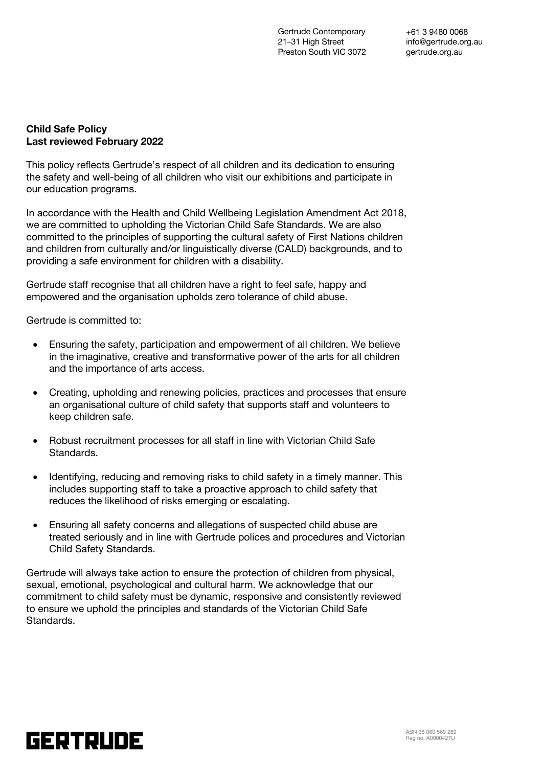+61 3 9480 0068 info@gertrude.org.au gertrude.org.au

# **Child Safe Policy Last reviewed February 2022**

This policy reflects Gertrude's respect of all children and its dedication to ensuring the safety and well-being of all children who visit our exhibitions and participate in our education programs.

In accordance with the Health and Child Wellbeing Legislation Amendment Act 2018, we are committed to upholding the Victorian Child Safe Standards. We are also committed to the principles of supporting the cultural safety of First Nations children and children from culturally and/or linguistically diverse (CALD) backgrounds, and to providing a safe environment for children with a disability.

Gertrude staff recognise that all children have a right to feel safe, happy and empowered and the organisation upholds zero tolerance of child abuse.

Gertrude is committed to:

- Ensuring the safety, participation and empowerment of all children. We believe in the imaginative, creative and transformative power of the arts for all children and the importance of arts access.
- Creating, upholding and renewing policies, practices and processes that ensure an organisational culture of child safety that supports staff and volunteers to keep children safe.
- Robust recruitment processes for all staff in line with Victorian Child Safe Standards.
- Identifying, reducing and removing risks to child safety in a timely manner. This includes supporting staff to take a proactive approach to child safety that reduces the likelihood of risks emerging or escalating.
- Ensuring all safety concerns and allegations of suspected child abuse are treated seriously and in line with Gertrude polices and procedures and Victorian Child Safety Standards.

Gertrude will always take action to ensure the protection of children from physical, sexual, emotional, psychological and cultural harm. We acknowledge that our commitment to child safety must be dynamic, responsive and consistently reviewed to ensure we uphold the principles and standards of the Victorian Child Safe Standards.

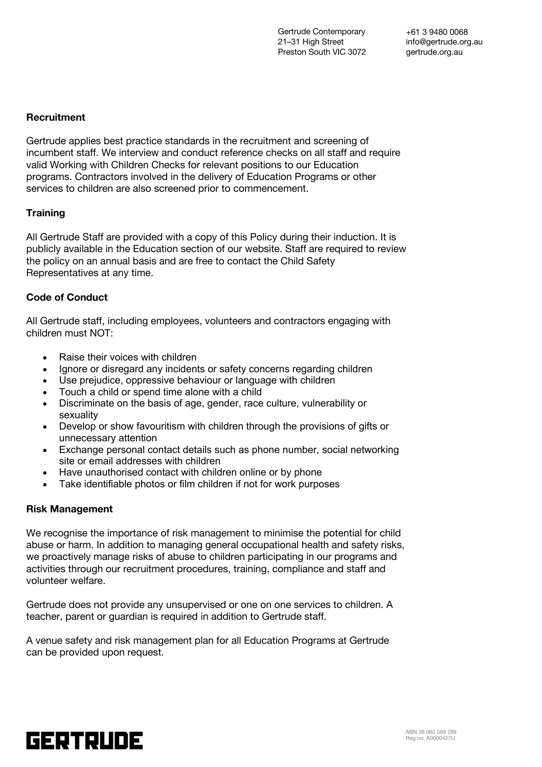+61 3 9480 0068 info@gertrude.org.au gertrude.org.au

#### **Recruitment**

Gertrude applies best practice standards in the recruitment and screening of incumbent staff. We interview and conduct reference checks on all staff and require valid Working with Children Checks for relevant positions to our Education programs. Contractors involved in the delivery of Education Programs or other services to children are also screened prior to commencement.

### **Training**

All Gertrude Staff are provided with a copy of this Policy during their induction. It is publicly available in the Education section of our website. Staff are required to review the policy on an annual basis and are free to contact the Child Safety Representatives at any time.

### **Code of Conduct**

All Gertrude staff, including employees, volunteers and contractors engaging with children must NOT:

- Raise their voices with children
- Ignore or disregard any incidents or safety concerns regarding children
- Use prejudice, oppressive behaviour or language with children
- Touch a child or spend time alone with a child
- Discriminate on the basis of age, gender, race culture, vulnerability or sexuality
- Develop or show favouritism with children through the provisions of gifts or unnecessary attention
- Exchange personal contact details such as phone number, social networking site or email addresses with children
- Have unauthorised contact with children online or by phone
- Take identifiable photos or film children if not for work purposes

#### **Risk Management**

We recognise the importance of risk management to minimise the potential for child abuse or harm. In addition to managing general occupational health and safety risks, we proactively manage risks of abuse to children participating in our programs and activities through our recruitment procedures, training, compliance and staff and volunteer welfare.

Gertrude does not provide any unsupervised or one on one services to children. A teacher, parent or guardian is required in addition to Gertrude staff.

A venue safety and risk management plan for all Education Programs at Gertrude can be provided upon request.

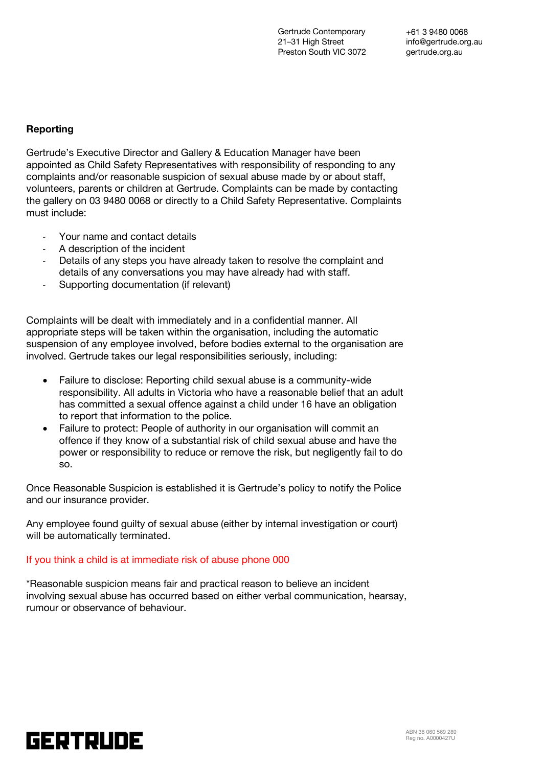+61 3 9480 0068 info@gertrude.org.au gertrude.org.au

## **Reporting**

Gertrude's Executive Director and Gallery & Education Manager have been appointed as Child Safety Representatives with responsibility of responding to any complaints and/or reasonable suspicion of sexual abuse made by or about staff, volunteers, parents or children at Gertrude. Complaints can be made by contacting the gallery on 03 9480 0068 or directly to a Child Safety Representative. Complaints must include:

- Your name and contact details
- A description of the incident
- Details of any steps you have already taken to resolve the complaint and details of any conversations you may have already had with staff.
- Supporting documentation (if relevant)

Complaints will be dealt with immediately and in a confidential manner. All appropriate steps will be taken within the organisation, including the automatic suspension of any employee involved, before bodies external to the organisation are involved. Gertrude takes our legal responsibilities seriously, including:

- Failure to disclose: Reporting child sexual abuse is a community-wide responsibility. All adults in Victoria who have a reasonable belief that an adult has committed a sexual offence against a child under 16 have an obligation to report that information to the police.
- Failure to protect: People of authority in our organisation will commit an offence if they know of a substantial risk of child sexual abuse and have the power or responsibility to reduce or remove the risk, but negligently fail to do so.

Once Reasonable Suspicion is established it is Gertrude's policy to notify the Police and our insurance provider.

Any employee found guilty of sexual abuse (either by internal investigation or court) will be automatically terminated.

## If you think a child is at immediate risk of abuse phone 000

\*Reasonable suspicion means fair and practical reason to believe an incident involving sexual abuse has occurred based on either verbal communication, hearsay, rumour or observance of behaviour.